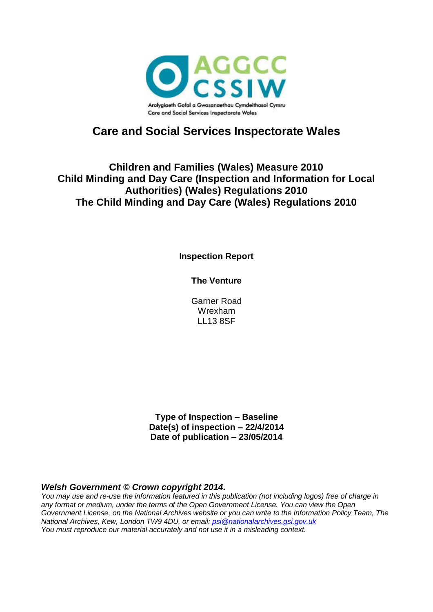

# **Care and Social Services Inspectorate Wales**

### **Children and Families (Wales) Measure 2010 Child Minding and Day Care (Inspection and Information for Local Authorities) (Wales) Regulations 2010 The Child Minding and Day Care (Wales) Regulations 2010**

**Inspection Report**

**The Venture**

Garner Road Wrexham LL13 8SF

**Type of Inspection – Baseline Date(s) of inspection – 22/4/2014 Date of publication – 23/05/2014**

#### *Welsh Government © Crown copyright 2014.*

*You may use and re-use the information featured in this publication (not including logos) free of charge in any format or medium, under the terms of the Open Government License. You can view the Open Government License, on the National Archives website or you can write to the Information Policy Team, The National Archives, Kew, London TW9 4DU, or email: [psi@nationalarchives.gsi.gov.uk](mailto:psi@nationalarchives.gsi.gov.uk) You must reproduce our material accurately and not use it in a misleading context.*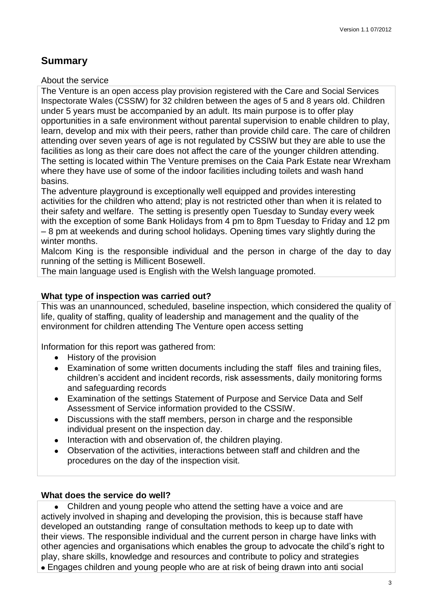### **Summary**

About the service

The Venture is an open access play provision registered with the Care and Social Services Inspectorate Wales (CSSIW) for 32 children between the ages of 5 and 8 years old. Children under 5 years must be accompanied by an adult. Its main purpose is to offer play opportunities in a safe environment without parental supervision to enable children to play, learn, develop and mix with their peers, rather than provide child care. The care of children attending over seven years of age is not regulated by CSSIW but they are able to use the facilities as long as their care does not affect the care of the younger children attending. The setting is located within The Venture premises on the Caia Park Estate near Wrexham where they have use of some of the indoor facilities including toilets and wash hand basins.

The adventure playground is exceptionally well equipped and provides interesting activities for the children who attend; play is not restricted other than when it is related to their safety and welfare. The setting is presently open Tuesday to Sunday every week with the exception of some Bank Holidays from 4 pm to 8pm Tuesday to Friday and 12 pm – 8 pm at weekends and during school holidays. Opening times vary slightly during the winter months.

Malcom King is the responsible individual and the person in charge of the day to day running of the setting is Millicent Bosewell.

The main language used is English with the Welsh language promoted.

### **What type of inspection was carried out?**

This was an unannounced, scheduled, baseline inspection, which considered the quality of life, quality of staffing, quality of leadership and management and the quality of the environment for children attending The Venture open access setting

Information for this report was gathered from:

- History of the provision
- Examination of some written documents including the staff files and training files,  $\bullet$ children's accident and incident records, risk assessments, daily monitoring forms and safeguarding records
- Examination of the settings Statement of Purpose and Service Data and Self Assessment of Service information provided to the CSSIW.
- Discussions with the staff members, person in charge and the responsible individual present on the inspection day.
- Interaction with and observation of, the children playing.  $\bullet$
- Observation of the activities, interactions between staff and children and the  $\bullet$ procedures on the day of the inspection visit.

### **What does the service do well?**

Children and young people who attend the setting have a voice and are  $\bullet$ actively involved in shaping and developing the provision, this is because staff have developed an outstanding range of consultation methods to keep up to date with their views. The responsible individual and the current person in charge have links with other agencies and organisations which enables the group to advocate the child's right to play, share skills, knowledge and resources and contribute to policy and strategies Engages children and young people who are at risk of being drawn into anti social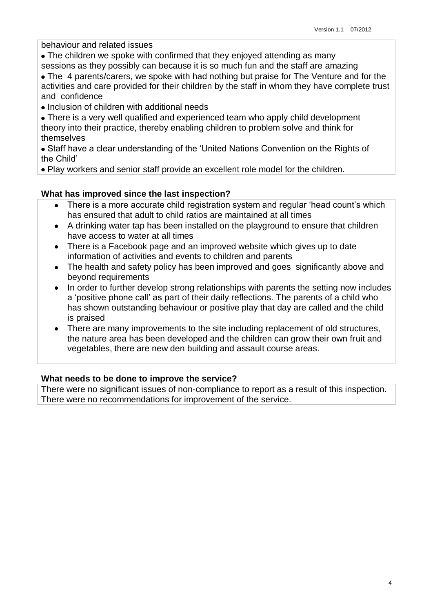behaviour and related issues

- The children we spoke with confirmed that they enjoyed attending as many sessions as they possibly can because it is so much fun and the staff are amazing
- The 4 parents/carers, we spoke with had nothing but praise for The Venture and for the activities and care provided for their children by the staff in whom they have complete trust and confidence
- Inclusion of children with additional needs
- There is a very well qualified and experienced team who apply child development theory into their practice, thereby enabling children to problem solve and think for themselves

Staff have a clear understanding of the 'United Nations Convention on the Rights of the Child'

Play workers and senior staff provide an excellent role model for the children.

### **What has improved since the last inspection?**

- There is a more accurate child registration system and regular 'head count's which  $\bullet$ has ensured that adult to child ratios are maintained at all times
- A drinking water tap has been installed on the playground to ensure that children  $\bullet$ have access to water at all times
- There is a Facebook page and an improved website which gives up to date  $\bullet$ information of activities and events to children and parents
- The health and safety policy has been improved and goes significantly above and  $\bullet$ beyond requirements
- In order to further develop strong relationships with parents the setting now includes  $\bullet$ a 'positive phone call' as part of their daily reflections. The parents of a child who has shown outstanding behaviour or positive play that day are called and the child is praised
- $\bullet$ There are many improvements to the site including replacement of old structures, the nature area has been developed and the children can grow their own fruit and vegetables, there are new den building and assault course areas.

#### **What needs to be done to improve the service?**

There were no significant issues of non-compliance to report as a result of this inspection. There were no recommendations for improvement of the service.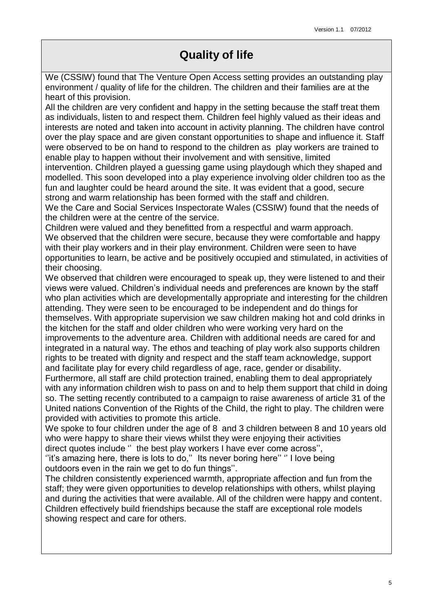# **Quality of life**

We (CSSIW) found that The Venture Open Access setting provides an outstanding play environment / quality of life for the children. The children and their families are at the heart of this provision.

All the children are very confident and happy in the setting because the staff treat them as individuals, listen to and respect them. Children feel highly valued as their ideas and interests are noted and taken into account in activity planning. The children have control over the play space and are given constant opportunities to shape and influence it. Staff were observed to be on hand to respond to the children as play workers are trained to enable play to happen without their involvement and with sensitive, limited

intervention. Children played a guessing game using playdough which they shaped and modelled. This soon developed into a play experience involving older children too as the fun and laughter could be heard around the site. It was evident that a good, secure strong and warm relationship has been formed with the staff and children.

We the Care and Social Services Inspectorate Wales (CSSIW) found that the needs of the children were at the centre of the service.

Children were valued and they benefitted from a respectful and warm approach. We observed that the children were secure, because they were comfortable and happy with their play workers and in their play environment. Children were seen to have opportunities to learn, be active and be positively occupied and stimulated, in activities of their choosing.

We observed that children were encouraged to speak up, they were listened to and their views were valued. Children's individual needs and preferences are known by the staff who plan activities which are developmentally appropriate and interesting for the children attending. They were seen to be encouraged to be independent and do things for themselves. With appropriate supervision we saw children making hot and cold drinks in the kitchen for the staff and older children who were working very hard on the improvements to the adventure area. Children with additional needs are cared for and integrated in a natural way. The ethos and teaching of play work also supports children rights to be treated with dignity and respect and the staff team acknowledge, support and facilitate play for every child regardless of age, race, gender or disability.

Furthermore, all staff are child protection trained, enabling them to deal appropriately with any information children wish to pass on and to help them support that child in doing so. The setting recently contributed to a campaign to raise awareness of article 31 of the United nations Convention of the Rights of the Child, the right to play. The children were provided with activities to promote this article.

We spoke to four children under the age of 8 and 3 children between 8 and 10 years old who were happy to share their views whilst they were enjoying their activities direct quotes include '' the best play workers I have ever come across'',

"it's amazing here, there is lots to do," Its never boring here" "I love being outdoors even in the rain we get to do fun things''.

The children consistently experienced warmth, appropriate affection and fun from the staff; they were given opportunities to develop relationships with others, whilst playing and during the activities that were available. All of the children were happy and content. Children effectively build friendships because the staff are exceptional role models showing respect and care for others.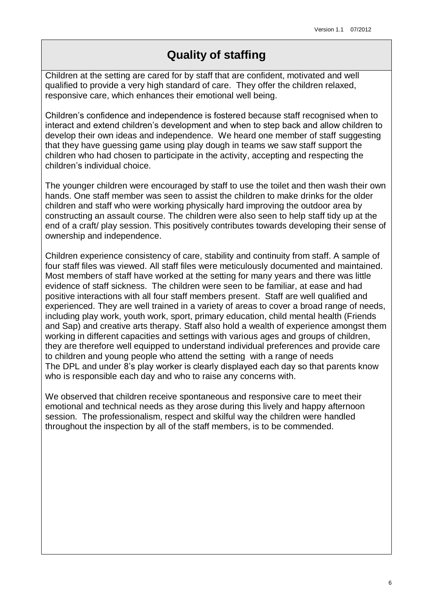## **Quality of staffing**

Children at the setting are cared for by staff that are confident, motivated and well qualified to provide a very high standard of care. They offer the children relaxed, responsive care, which enhances their emotional well being.

Children's confidence and independence is fostered because staff recognised when to interact and extend children's development and when to step back and allow children to develop their own ideas and independence. We heard one member of staff suggesting that they have guessing game using play dough in teams we saw staff support the children who had chosen to participate in the activity, accepting and respecting the children's individual choice.

The younger children were encouraged by staff to use the toilet and then wash their own hands. One staff member was seen to assist the children to make drinks for the older children and staff who were working physically hard improving the outdoor area by constructing an assault course. The children were also seen to help staff tidy up at the end of a craft/ play session. This positively contributes towards developing their sense of ownership and independence.

Children experience consistency of care, stability and continuity from staff. A sample of four staff files was viewed. All staff files were meticulously documented and maintained. Most members of staff have worked at the setting for many years and there was little evidence of staff sickness. The children were seen to be familiar, at ease and had positive interactions with all four staff members present. Staff are well qualified and experienced. They are well trained in a variety of areas to cover a broad range of needs, including play work, youth work, sport, primary education, child mental health (Friends and Sap) and creative arts therapy. Staff also hold a wealth of experience amongst them working in different capacities and settings with various ages and groups of children, they are therefore well equipped to understand individual preferences and provide care to children and young people who attend the setting with a range of needs The DPL and under 8's play worker is clearly displayed each day so that parents know who is responsible each day and who to raise any concerns with.

We observed that children receive spontaneous and responsive care to meet their emotional and technical needs as they arose during this lively and happy afternoon session. The professionalism, respect and skilful way the children were handled throughout the inspection by all of the staff members, is to be commended.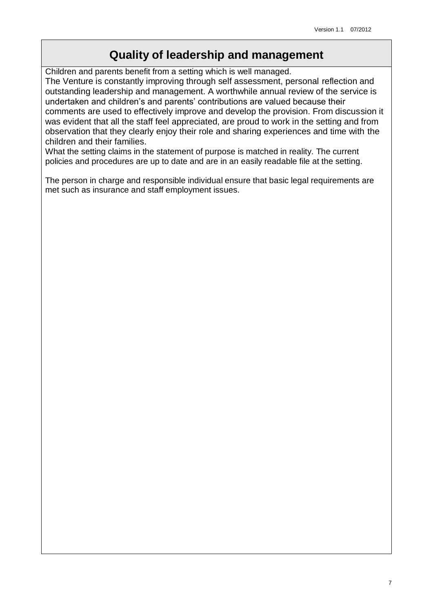### **Quality of leadership and management**

Children and parents benefit from a setting which is well managed.

The Venture is constantly improving through self assessment, personal reflection and outstanding leadership and management. A worthwhile annual review of the service is undertaken and children's and parents' contributions are valued because their comments are used to effectively improve and develop the provision. From discussion it was evident that all the staff feel appreciated, are proud to work in the setting and from observation that they clearly enjoy their role and sharing experiences and time with the children and their families.

What the setting claims in the statement of purpose is matched in reality. The current policies and procedures are up to date and are in an easily readable file at the setting.

The person in charge and responsible individual ensure that basic legal requirements are met such as insurance and staff employment issues.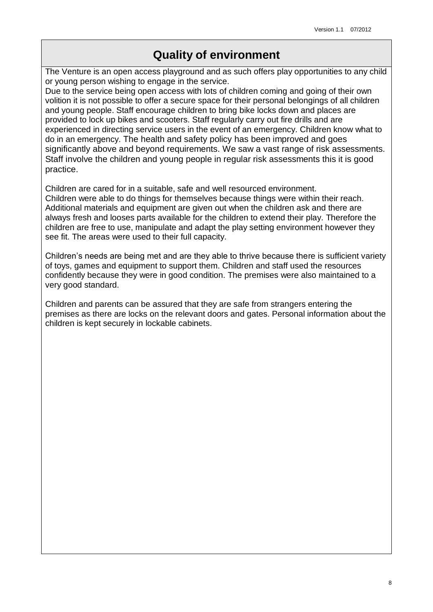## **Quality of environment**

The Venture is an open access playground and as such offers play opportunities to any child or young person wishing to engage in the service.

Due to the service being open access with lots of children coming and going of their own volition it is not possible to offer a secure space for their personal belongings of all children and young people. Staff encourage children to bring bike locks down and places are provided to lock up bikes and scooters. Staff regularly carry out fire drills and are experienced in directing service users in the event of an emergency. Children know what to do in an emergency. The health and safety policy has been improved and goes significantly above and beyond requirements. We saw a vast range of risk assessments. Staff involve the children and young people in regular risk assessments this it is good practice.

Children are cared for in a suitable, safe and well resourced environment. Children were able to do things for themselves because things were within their reach. Additional materials and equipment are given out when the children ask and there are always fresh and looses parts available for the children to extend their play. Therefore the children are free to use, manipulate and adapt the play setting environment however they see fit. The areas were used to their full capacity.

Children's needs are being met and are they able to thrive because there is sufficient variety of toys, games and equipment to support them. Children and staff used the resources confidently because they were in good condition. The premises were also maintained to a very good standard.

Children and parents can be assured that they are safe from strangers entering the premises as there are locks on the relevant doors and gates. Personal information about the children is kept securely in lockable cabinets.